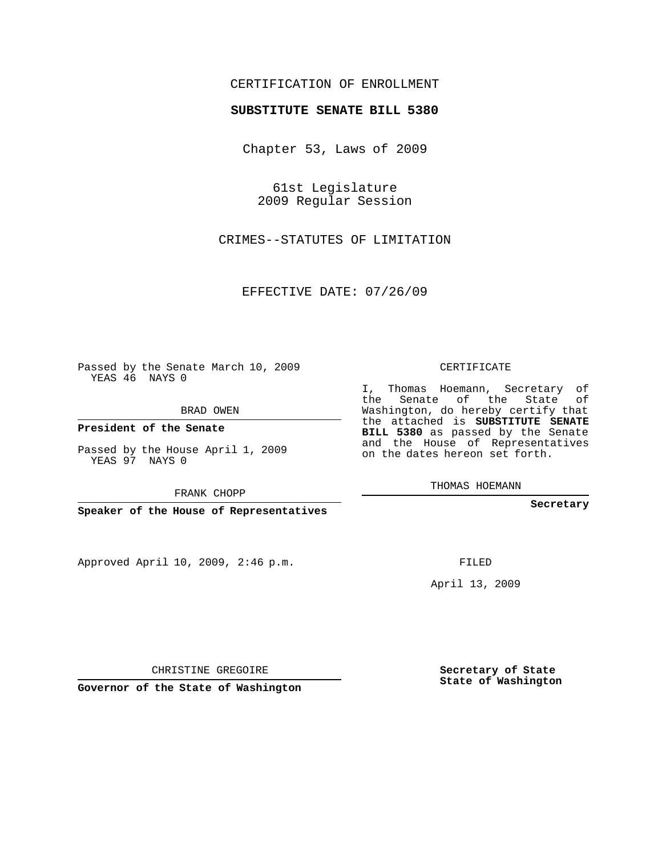## CERTIFICATION OF ENROLLMENT

## **SUBSTITUTE SENATE BILL 5380**

Chapter 53, Laws of 2009

61st Legislature 2009 Regular Session

CRIMES--STATUTES OF LIMITATION

EFFECTIVE DATE: 07/26/09

Passed by the Senate March 10, 2009 YEAS 46 NAYS 0

BRAD OWEN

**President of the Senate**

Passed by the House April 1, 2009 YEAS 97 NAYS 0

FRANK CHOPP

**Speaker of the House of Representatives**

Approved April 10, 2009, 2:46 p.m.

CERTIFICATE

I, Thomas Hoemann, Secretary of the Senate of the State of Washington, do hereby certify that the attached is **SUBSTITUTE SENATE BILL 5380** as passed by the Senate and the House of Representatives on the dates hereon set forth.

THOMAS HOEMANN

**Secretary**

FILED

April 13, 2009

**Secretary of State State of Washington**

CHRISTINE GREGOIRE

**Governor of the State of Washington**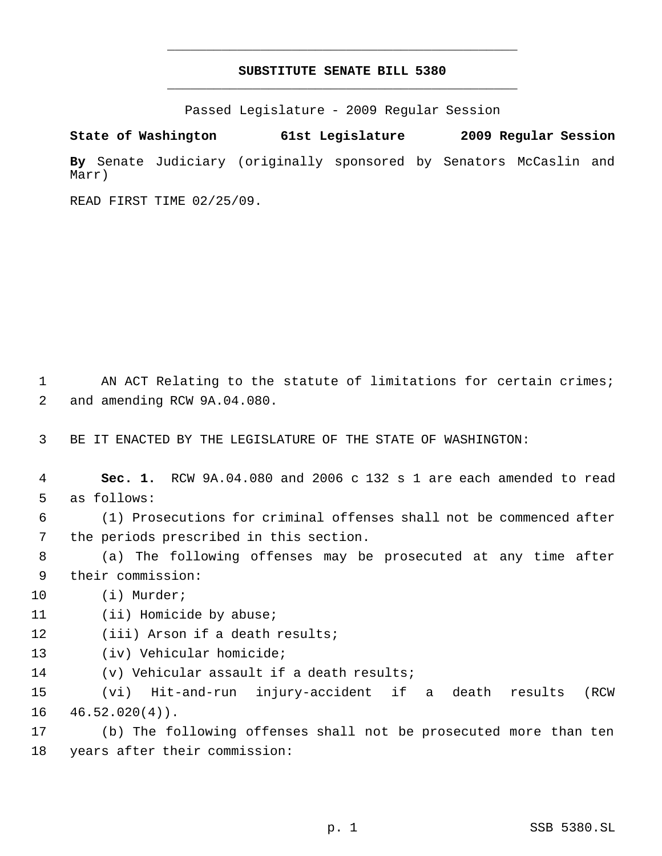## **SUBSTITUTE SENATE BILL 5380** \_\_\_\_\_\_\_\_\_\_\_\_\_\_\_\_\_\_\_\_\_\_\_\_\_\_\_\_\_\_\_\_\_\_\_\_\_\_\_\_\_\_\_\_\_

\_\_\_\_\_\_\_\_\_\_\_\_\_\_\_\_\_\_\_\_\_\_\_\_\_\_\_\_\_\_\_\_\_\_\_\_\_\_\_\_\_\_\_\_\_

Passed Legislature - 2009 Regular Session

**State of Washington 61st Legislature 2009 Regular Session By** Senate Judiciary (originally sponsored by Senators McCaslin and Marr)

READ FIRST TIME 02/25/09.

1 AN ACT Relating to the statute of limitations for certain crimes; 2 and amending RCW 9A.04.080.

3 BE IT ENACTED BY THE LEGISLATURE OF THE STATE OF WASHINGTON:

 4 **Sec. 1.** RCW 9A.04.080 and 2006 c 132 s 1 are each amended to read 5 as follows:

 6 (1) Prosecutions for criminal offenses shall not be commenced after 7 the periods prescribed in this section.

 8 (a) The following offenses may be prosecuted at any time after 9 their commission:

10 (i) Murder;

11 (ii) Homicide by abuse;

12 (iii) Arson if a death results;

- 13 (iv) Vehicular homicide;
- 14 (v) Vehicular assault if a death results;

15 (vi) Hit-and-run injury-accident if a death results (RCW  $16 \quad 46.52.020(4)$ .

17 (b) The following offenses shall not be prosecuted more than ten 18 years after their commission: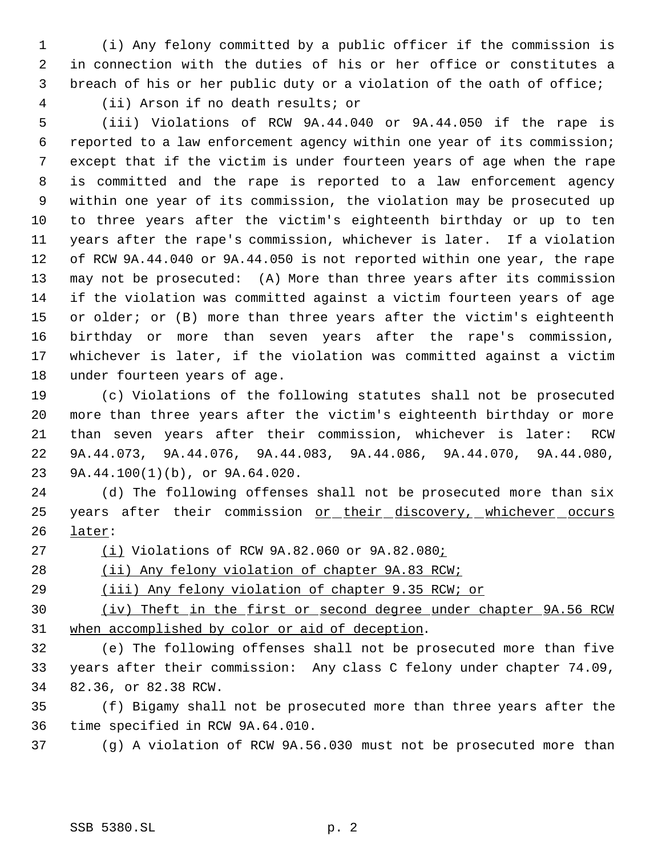(i) Any felony committed by a public officer if the commission is in connection with the duties of his or her office or constitutes a breach of his or her public duty or a violation of the oath of office;

(ii) Arson if no death results; or

 (iii) Violations of RCW 9A.44.040 or 9A.44.050 if the rape is reported to a law enforcement agency within one year of its commission; except that if the victim is under fourteen years of age when the rape is committed and the rape is reported to a law enforcement agency within one year of its commission, the violation may be prosecuted up to three years after the victim's eighteenth birthday or up to ten years after the rape's commission, whichever is later. If a violation of RCW 9A.44.040 or 9A.44.050 is not reported within one year, the rape may not be prosecuted: (A) More than three years after its commission if the violation was committed against a victim fourteen years of age or older; or (B) more than three years after the victim's eighteenth birthday or more than seven years after the rape's commission, whichever is later, if the violation was committed against a victim under fourteen years of age.

 (c) Violations of the following statutes shall not be prosecuted more than three years after the victim's eighteenth birthday or more than seven years after their commission, whichever is later: RCW 9A.44.073, 9A.44.076, 9A.44.083, 9A.44.086, 9A.44.070, 9A.44.080, 9A.44.100(1)(b), or 9A.64.020.

 (d) The following offenses shall not be prosecuted more than six 25 years after their commission or their discovery, whichever occurs later:

(i) Violations of RCW 9A.82.060 or 9A.82.080;

28 (ii) Any felony violation of chapter 9A.83 RCW;

29 (iii) Any felony violation of chapter 9.35 RCW; or

 (iv) Theft in the first or second degree under chapter 9A.56 RCW when accomplished by color or aid of deception.

 (e) The following offenses shall not be prosecuted more than five years after their commission: Any class C felony under chapter 74.09, 82.36, or 82.38 RCW.

 (f) Bigamy shall not be prosecuted more than three years after the time specified in RCW 9A.64.010.

(g) A violation of RCW 9A.56.030 must not be prosecuted more than